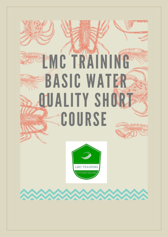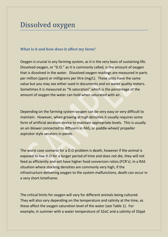# Dissolved oxygen

# **What is it and how does it affect my farm?**

Oxygen is crucial in any farming system, as it is the very basis of sustaining life. Dissolved oxygen, or "D.O." as it is commonly called, is the amount of oxygen that is dissolved in the water. Dissolved oxygen readings are measured in parts per million (ppm) or milligrams per litre (mg/L). These units have the same value but you may see either used in documents and on water quality meters. Sometimes it is measured as "% saturation" which is the percentage of the amount of oxygen the water can hold when saturated with air.

Depending on the farming system oxygen can be very easy or very difficult to maintain. However, when growing at high densities it usually requires some form of artificial aeration device to maintain appropriate levels. This is usually an air-blower connected to diffusers in RAS, or paddle-wheel/ propeller aspirator style aerators in ponds.

The worst case scenario for a D.O problem is death, however if the animal is exposed to low D.O for a longer period of time and does not die, they will not feed as efficiently and will have higher food conversion ratios (FCR's). In a RAS situation where stocking densities are commonly very high, if the infrastructure delivering oxygen to the system malfunctions, death can occur in a very short timeframe.

The critical limits for oxygen will vary for different animals being cultured. They will also vary depending on the temperature and salinity at the time, as these affect the oxygen saturation level of the water (see Table 1). For example, in summer with a water temperature of 32oC and a salinity of 35ppt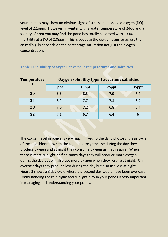your animals may show no obvious signs of stress at a dissolved oxygen (DO) level of 2.1ppm. However, in winter with a water temperature of 24oC and a salinity of 5ppt you may find the pond has totally collapsed with 100% mortality at a DO of 2.8ppm. This is because the oxygen transfer across the animal's gills depends on the percentage saturation not just the oxygen concentration.

| <b>Temperature</b><br>$\rm ^0C$ | Oxygen solubility (ppm) at various salinities |       |       |       |
|---------------------------------|-----------------------------------------------|-------|-------|-------|
|                                 | 5ppt                                          | 15ppt | 25ppt | 35ppt |
| 20                              | 8.8                                           | 8.3   | 7.9   | 7.4   |
| 24                              | 8.2                                           | 7.7   | 7.3   | 6.9   |
| 28                              | 7.6                                           | 7.2   | 6.8   | 6.4   |
| 32                              | 7.1                                           | 6.7   | 6.4   | 6     |

#### **Table 1: Solubility of oxygen at various temperatures and salinities**

The oxygen level in ponds is very much linked to the daily photosynthesis cycle of the algal bloom. When the algae photosynthesise during the day they produce oxygen and at night they consume oxygen as they respire. When there is more sunlight on fine sunny days they will produce more oxygen during the day but will also use more oxygen when they respire at night. On overcast days they produce less during the day but also use less at night. Figure 3 shows a 3 day cycle where the second day would have been overcast. Understanding the role algae and sunlight play in your ponds is very important in managing and understanding your ponds.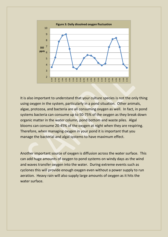

It is also important to understand that your culture species is not the only thing using oxygen in the system, particularly in a pond situation. Other animals, algae, protozoa, and bacteria are all consuming oxygen as well. In fact, in pond systems bacteria can consume up to 50-75% of the oxygen as they break down organic matter in the water column, pond bottom and waste piles. Algal blooms can consume 20-45% of the oxygen at night when they are respiring. Therefore, when managing oxygen in your pond it is important that you manage the bacterial and algal systems to have maximum effect.

Another important source of oxygen is diffusion across the water surface. This can add huge amounts of oxygen to pond systems on windy days as the wind and waves transfer oxygen into the water. During extreme events such as cyclones this will provide enough oxygen even without a power supply to run aeration. Heavy rain will also supply large amounts of oxygen as it hits the water surface.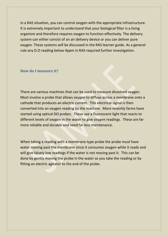In a RAS situation, you can control oxygen with the appropriate infrastructure. It is extremely important to understand that your biological filter is a living organism and therefore requires oxygen to function effectively. The delivery system can either consist of an air delivery device or you can deliver pure oxygen. These systems will be discussed in the RAS learner guide. As a general rule any D.O reading below 4ppm in RAS required further investigation.

#### **How do I measure it?**

There are various machines that can be used to measure dissolved oxygen. Most involve a probe that allows oxygen to diffuse across a membrane onto a cathode that produces an electric current. This electrical signal is then converted into an oxygen reading by the machine. More recently farms have started using optical DO probes. These use a fluorescent light that reacts to different levels of oxygen in the water to give oxygen readings. These are far more reliable and durable and need far less maintenance.

When taking a reading with a membrane type probe the probe must have water moving past the membrane since it consumes oxygen while it reads and will give falsely low readings if the water is not moving past it. This can be done by gently moving the probe in the water as you take the reading or by fitting an electric agitator to the end of the probe.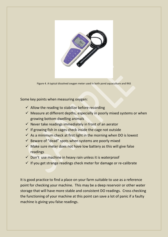

Figure 4. A typical dissolved oxygen meter used in both pond aquaculture and RAS

Some key points when measuring oxygen:

- $\checkmark$  Allow the reading to stabilize before recording
- $\checkmark$  Measure at different depths, especially in poorly mixed systems or when growing bottom dwelling animals
- $\checkmark$  Never take readings immediately in front of an aerator
- $\checkmark$  If growing fish in cages check inside the cage not outside
- $\checkmark$  As a minimum check at first light in the morning when DO is lowest
- $\checkmark$  Beware of "dead" spots when systems are poorly mixed
- $\checkmark$  Make sure meter does not have low battery as this will give false readings
- $\checkmark$  Don't use machine in heavy rain unless it is waterproof
- $\checkmark$  If you get strange readings check meter for damage or re-calibrate

It is good practice to find a place on your farm suitable to use as a reference point for checking your machine. This may be a deep reservoir or other water storage that will have more stable and consistent DO readings. Cross checking the functioning of your machine at this point can save a lot of panic if a faulty machine is giving you false readings.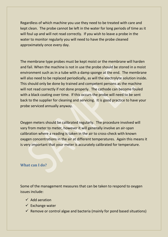Regardless of which machine you use they need to be treated with care and kept clean. The probe cannot be left in the water for long periods of time as it will foul up and will not read correctly. If you wish to leave a probe in the water to monitor regularly you will need to have the probe cleaned approximately once every day.

The membrane type probes must be kept moist or the membrane will harden and fail. When the machine is not in use the probe should be stored in a moist environment such as in a tube with a damp sponge at the end. The membrane will also need to be replaced periodically, as will the electrolyte solution inside. This should only be done by trained and competent persons as the machine will not read correctly if not done properly. The cathode can become fouled with a black coating over time. If this occurs the probe will need to be sent back to the supplier for cleaning and servicing. It is good practice to have your probe serviced annually anyway.

Oxygen meters should be calibrated regularly. The procedure involved will vary from meter to meter, however it will generally involve an air-span calibration where a reading is taken in the air to cross-check with known oxygen concentrations in the air at different temperatures. Again this means it is very important that your meter is accurately calibrated for temperature.

## **What can I do?**

Some of the management measures that can be taken to respond to oxygen issues include:

- $\checkmark$  Add aeration
- $\checkmark$  Exchange water
- $\checkmark$  Remove or control algae and bacteria (mainly for pond based situations)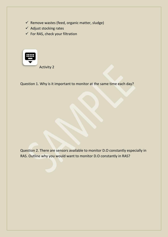- $\checkmark$  Remove wastes (feed, organic matter, sludge)
- $\checkmark$  Adjust stocking rates
- $\checkmark$  For RAS, check your filtration



Question 1. Why is it important to monitor at the same time each day?

Question 2. There are sensors available to monitor D.O constantly especially in RAS. Outline why you would want to monitor D.O constantly in RAS?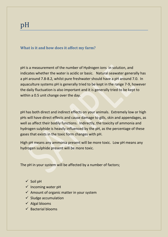# **What is it and how does it affect my farm?**

pH is a measurement of the number of Hydrogen ions in solution, and indicates whether the water is acidic or basic. Natural seawater generally has a pH around 7.8-8.2, whilst pure freshwater should have a pH around 7.0. In aquaculture systems pH is generally tried to be kept in the range 7-9, however the daily fluctuation is also important and it is generally tried to be kept to within a 0.5 unit change over the day.

pH has both direct and indirect effects on your animals. Extremely low or high pHs will have direct effects and cause damage to gills, skin and appendages, as well as affect their bodily functions. Indirectly, the toxicity of ammonia and hydrogen sulphide is heavily influenced by the pH, as the percentage of these gases that exists in the toxic form changes with pH.

High pH means any ammonia present will be more toxic. Low pH means any hydrogen sulphide present will be more toxic.

The pH in your system will be affected by a number of factors;

- $\checkmark$  Soil pH
- $\checkmark$  Incoming water pH
- $\checkmark$  Amount of organic matter in your system
- $\checkmark$  Sludge accumulation
- $\checkmark$  Algal blooms
- $\checkmark$  Bacterial blooms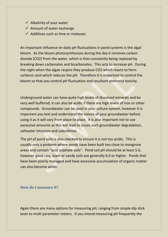- $\checkmark$  Alkalinity of your water
- $\checkmark$  Amount of water exchange
- $\checkmark$  Additives such as lime or molasses

An important influence on daily pH fluctuations in pond systems is the algal bloom. As the bloom photosynthesises during the day it removes carbon dioxide (CO2) from the water, which is then constantly being replaced by breaking down carbonates and bicarbonates. This acts to increase pH. During the night when the algae respire they produce CO2 which reacts to form carbonic acid which reduces the pH. Therefore it is important to control the bloom so that you control pH fluctuation and resultant ammonia toxicity.

Underground water can have quite high levels of dissolved minerals and be very well buffered; it can also be acidic if there are high levels of iron or other compounds. Groundwater can be used in your culture system, however it is important you test and understand the nature of your groundwater before using it as it will vary from place to place. It is also important not to use excessive amounts as this will lead to issues such groundwater degradation, saltwater intrusion and subsidence.

The pH of pond soils is also checked to ensure it is not too acidic. This is usually only a problem where ponds have been built too close to mangrove areas and contain "acid sulphate soils". Pond soil pH should be at least 5.0, however good clay, loam or sandy soils are generally 6.0 or higher. Ponds that have been poorly managed and have excessive accumulation of organic matter can also become acidic.

## **How do I measure it?**

Again there are many options for measuring pH, ranging from simple dip stick tests to multi parameter meters. If you intend measuring pH frequently the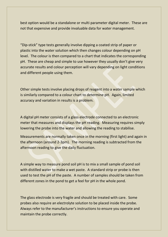best option would be a standalone or multi parameter digital meter. These are not that expensive and provide invaluable data for water management.

"Dip-stick" type tests generally involve dipping a coated strip of paper or plastic into the water solution which then changes colour depending on pH level. The colour is then compared to a chart that indicates the corresponding pH. These are cheap and simple to use however they usually don't give very accurate results and colour perception will vary depending on light conditions and different people using them.

Other simple tests involve placing drops of reagent into a water sample which is similarly compared to a colour chart to determine pH. Again, limited accuracy and variation in results is a problem.

A digital pH meter consists of a glass electrode connected to an electronic meter that measures and displays the pH reading. Measuring requires simply lowering the probe into the water and allowing the reading to stabilise.

Measurements are normally taken once in the morning (first light) and again in the afternoon (around 2-3pm). The morning reading is subtracted from the afternoon reading to give the daily fluctuation.

A simple way to measure pond soil pH is to mix a small sample of pond soil with distilled water to make a wet paste. A standard strip or probe is then used to test the pH of the paste. A number of samples should be taken from different zones in the pond to get a feel for pH in the whole pond.

The glass electrode is very fragile and should be treated with care. Some probes also require an electrolyte solution to be placed inside the probe. Always refer to the manufacturer's instructions to ensure you operate and maintain the probe correctly.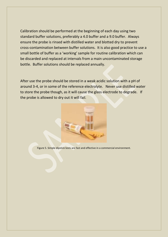Calibration should be performed at the beginning of each day using two standard buffer solutions, preferably a 4.0 buffer and a 9.0 buffer. Always ensure the probe is rinsed with distilled water and blotted dry to prevent cross-contamination between buffer solutions. It is also good practice to use a small bottle of buffer as a 'working' sample for routine calibration which can be discarded and replaced at intervals from a main uncontaminated storage bottle. Buffer solutions should be replaced annually.

After use the probe should be stored in a weak acidic solution with a pH of around 3-4, or in some of the reference electrolyte. Never use distilled water to store the probe though, as it will cause the glass electrode to degrade. If the probe is allowed to dry out it will fail.



Figure 5. Simple dipstick tests are fast and effective in a commercial environment.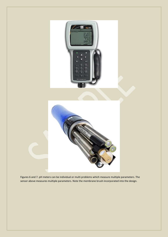

Figures 6 and 7. pH meters can be individual or multi problems which measure multiple parameters. The sensor above measures multiple parameters. Note the membrane brush incorporated into the design.